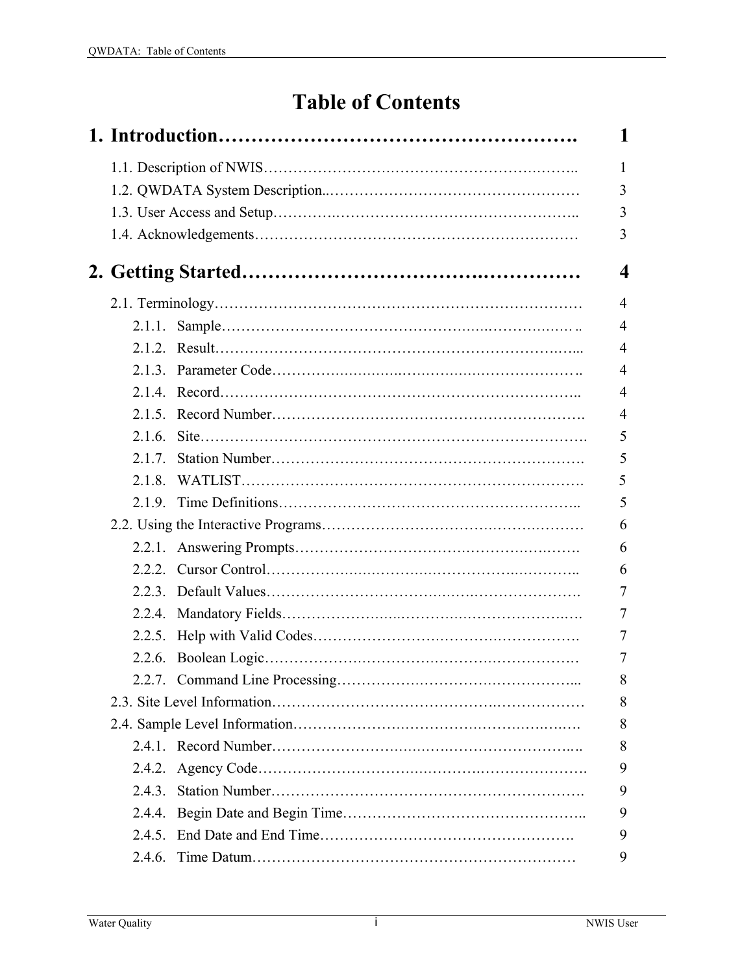## **Table of Contents**

|        | 1              |
|--------|----------------|
|        | 1              |
|        | 3              |
|        | 3              |
|        | 3              |
|        | 4              |
|        | $\overline{4}$ |
|        | 4              |
|        | $\overline{4}$ |
|        | 4              |
|        | $\overline{4}$ |
|        | $\overline{4}$ |
|        | 5              |
| 2.1.7. | 5              |
| 2.1.8  | 5              |
|        | 5              |
|        | 6              |
|        | 6              |
|        | 6              |
|        | 7              |
|        | 7              |
|        | 7              |
|        | 7              |
|        | 8              |
|        | 8              |
|        | 8              |
|        | 8              |
|        | 9              |
| 2.4.3. | 9              |
| 2.4.4. | 9              |
|        | 9              |
| 2.4.6. | 9              |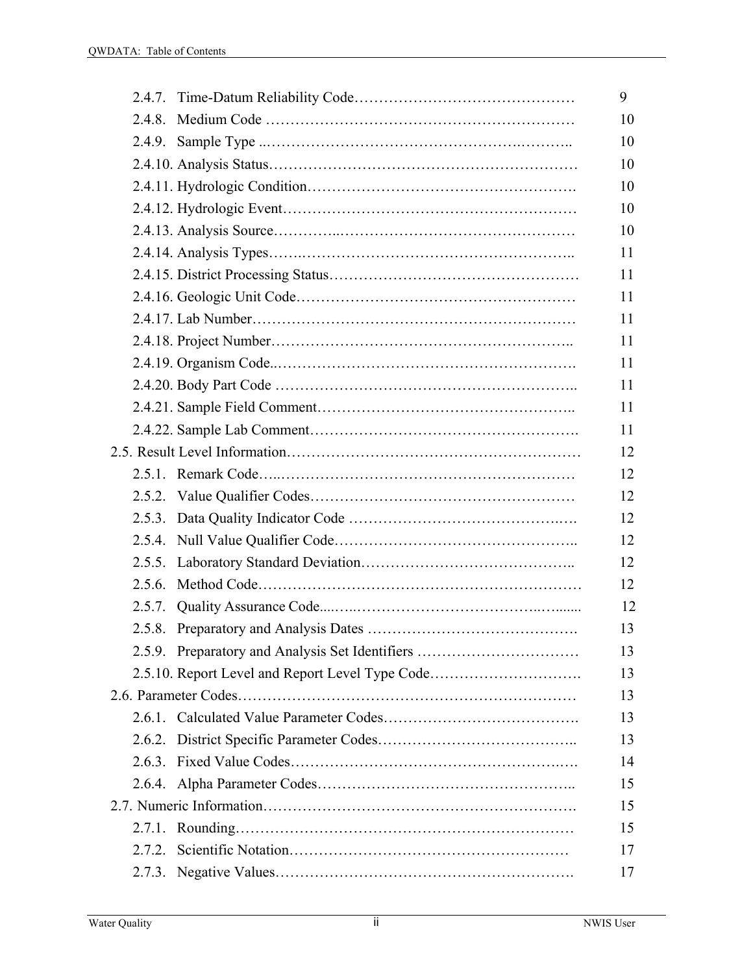| 2.5.9. Preparatory and Analysis Set Identifiers |
|-------------------------------------------------|
| 2.5.10. Report Level and Report Level Type Code |
|                                                 |
|                                                 |
|                                                 |
|                                                 |
|                                                 |
|                                                 |
|                                                 |
|                                                 |
|                                                 |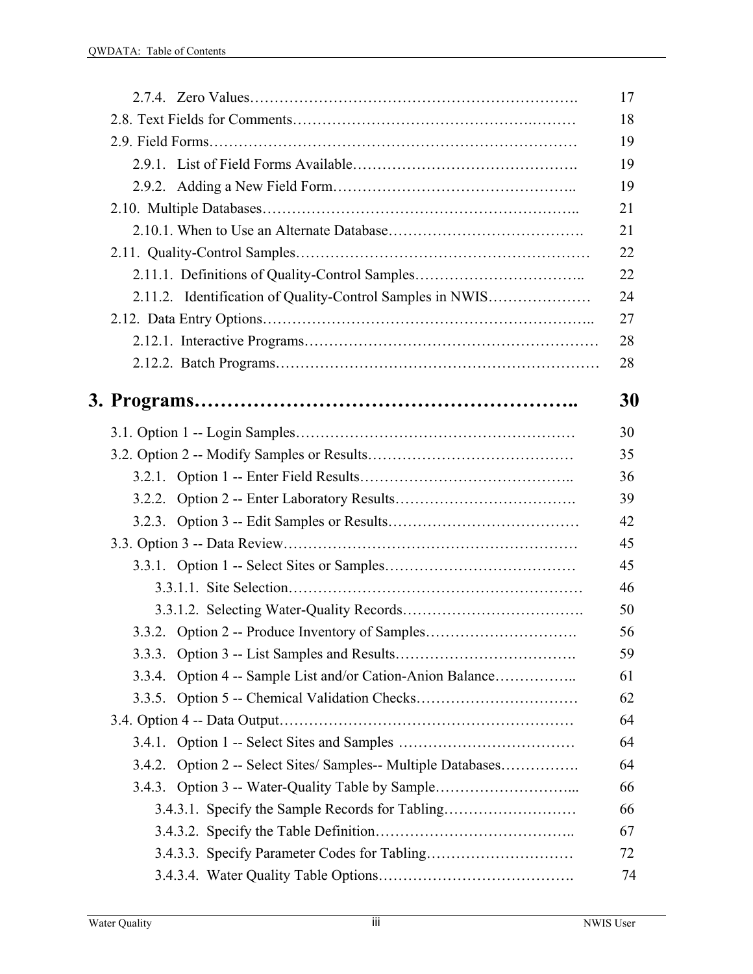|                                                               | 17 |
|---------------------------------------------------------------|----|
|                                                               | 18 |
|                                                               | 19 |
|                                                               | 19 |
|                                                               | 19 |
|                                                               | 21 |
|                                                               | 21 |
|                                                               | 22 |
| 2.11.1. Definitions of Quality-Control Samples                | 22 |
| 2.11.2. Identification of Quality-Control Samples in NWIS     | 24 |
|                                                               | 27 |
|                                                               | 28 |
|                                                               | 28 |
|                                                               | 30 |
|                                                               | 30 |
|                                                               | 35 |
|                                                               | 36 |
|                                                               | 39 |
|                                                               | 42 |
|                                                               | 45 |
|                                                               | 45 |
|                                                               | 46 |
|                                                               | 50 |
| 3.3.2. Option 2 -- Produce Inventory of Samples               | 56 |
|                                                               | 59 |
| 3.3.4. Option 4 -- Sample List and/or Cation-Anion Balance    | 61 |
|                                                               | 62 |
|                                                               | 64 |
|                                                               | 64 |
| 3.4.2. Option 2 -- Select Sites/ Samples-- Multiple Databases | 64 |
| 3.4.3. Option 3 -- Water-Quality Table by Sample              | 66 |
| 3.4.3.1. Specify the Sample Records for Tabling               | 66 |
|                                                               | 67 |
|                                                               | 72 |
|                                                               | 74 |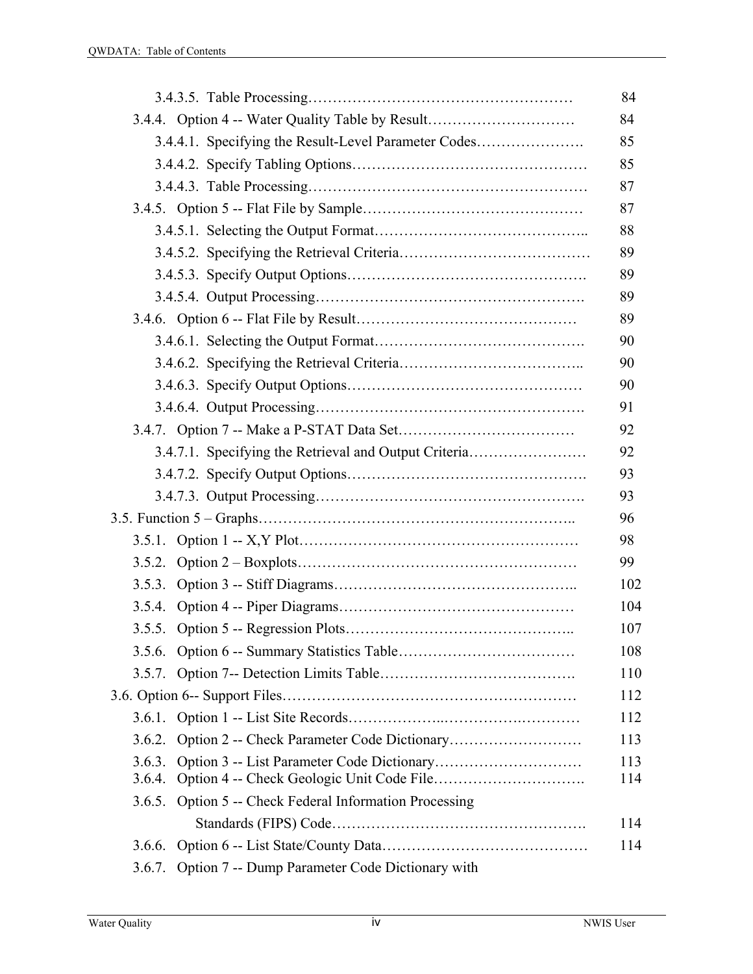| 3.4.4. Option 4 -- Water Quality Table by Result          |  |
|-----------------------------------------------------------|--|
| 3.4.4.1. Specifying the Result-Level Parameter Codes      |  |
|                                                           |  |
|                                                           |  |
|                                                           |  |
|                                                           |  |
|                                                           |  |
|                                                           |  |
|                                                           |  |
|                                                           |  |
|                                                           |  |
|                                                           |  |
|                                                           |  |
|                                                           |  |
|                                                           |  |
| 3.4.7.1. Specifying the Retrieval and Output Criteria     |  |
|                                                           |  |
|                                                           |  |
|                                                           |  |
|                                                           |  |
|                                                           |  |
|                                                           |  |
|                                                           |  |
|                                                           |  |
|                                                           |  |
|                                                           |  |
|                                                           |  |
|                                                           |  |
| 3.6.2.                                                    |  |
| 3.6.3.<br>3.6.4.                                          |  |
| 3.6.5. Option 5 -- Check Federal Information Processing   |  |
|                                                           |  |
| 3.6.6.                                                    |  |
| Option 7 -- Dump Parameter Code Dictionary with<br>3.6.7. |  |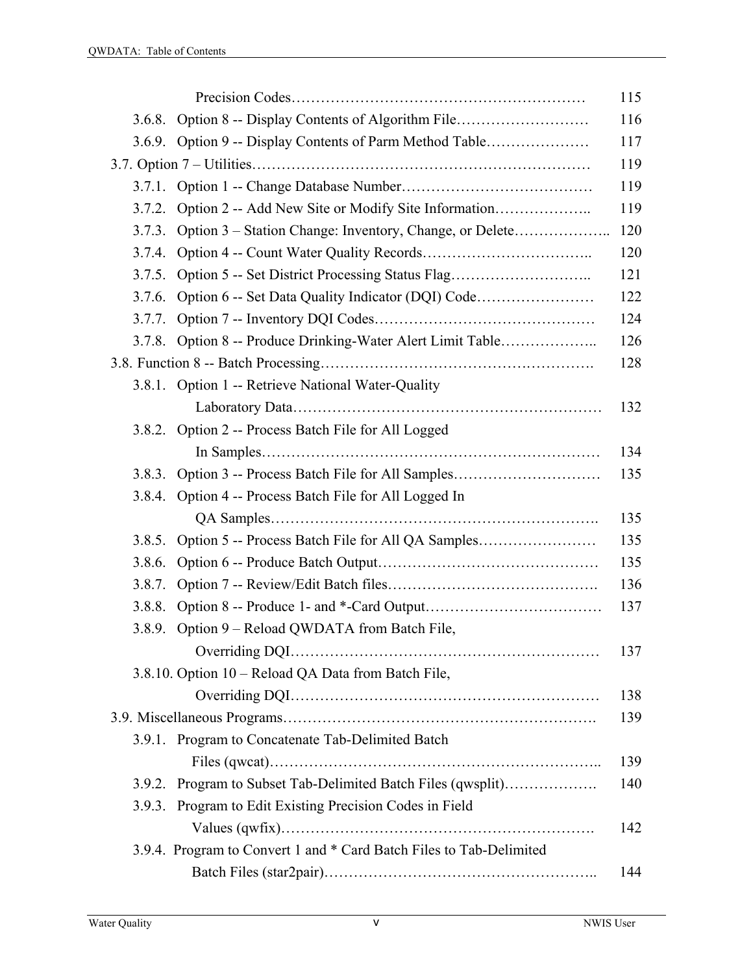|        |                                                                     | 115 |
|--------|---------------------------------------------------------------------|-----|
|        | 3.6.8. Option 8 -- Display Contents of Algorithm File               | 116 |
|        | 3.6.9. Option 9 -- Display Contents of Parm Method Table            | 117 |
|        |                                                                     |     |
|        |                                                                     | 119 |
| 3.7.2. |                                                                     | 119 |
| 3.7.3. |                                                                     | 120 |
| 3.7.4. |                                                                     | 120 |
| 3.7.5. | Option 5 -- Set District Processing Status Flag                     | 121 |
| 3.7.6. |                                                                     | 122 |
| 3.7.7. |                                                                     | 124 |
|        | 3.7.8. Option 8 -- Produce Drinking-Water Alert Limit Table         | 126 |
|        |                                                                     | 128 |
|        | 3.8.1. Option 1 -- Retrieve National Water-Quality                  |     |
|        |                                                                     | 132 |
|        | 3.8.2. Option 2 -- Process Batch File for All Logged                |     |
|        |                                                                     | 134 |
| 3.8.3. | Option 3 -- Process Batch File for All Samples                      | 135 |
|        | 3.8.4. Option 4 -- Process Batch File for All Logged In             |     |
|        |                                                                     | 135 |
| 3.8.5. | Option 5 -- Process Batch File for All QA Samples                   | 135 |
| 3.8.6. |                                                                     | 135 |
| 3.8.7. |                                                                     | 136 |
| 3.8.8. |                                                                     | 137 |
| 3.8.9. | Option 9 - Reload QWDATA from Batch File,                           |     |
|        |                                                                     | 137 |
|        | 3.8.10. Option 10 - Reload QA Data from Batch File,                 |     |
|        |                                                                     | 138 |
|        |                                                                     | 139 |
|        | 3.9.1. Program to Concatenate Tab-Delimited Batch                   |     |
|        |                                                                     | 139 |
| 3.9.2. | Program to Subset Tab-Delimited Batch Files (qwsplit)               | 140 |
| 3.9.3. | Program to Edit Existing Precision Codes in Field                   |     |
|        |                                                                     | 142 |
|        | 3.9.4. Program to Convert 1 and * Card Batch Files to Tab-Delimited |     |
|        |                                                                     | 144 |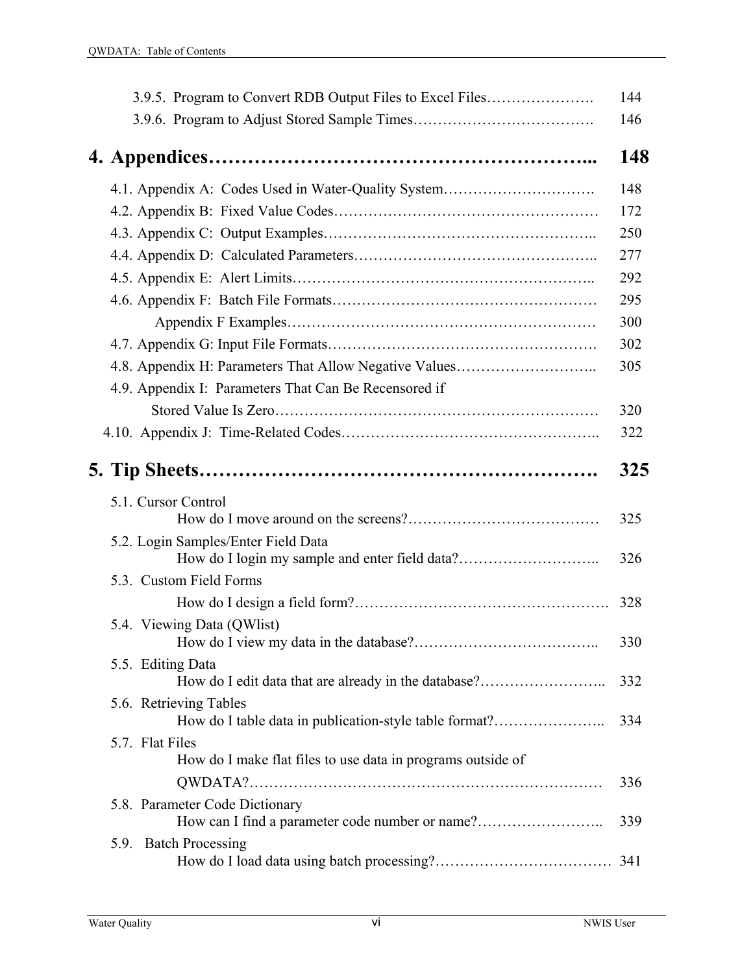| 3.9.5. Program to Convert RDB Output Files to Excel Files                        | 144 |
|----------------------------------------------------------------------------------|-----|
|                                                                                  | 146 |
|                                                                                  | 148 |
|                                                                                  |     |
| 4.1. Appendix A: Codes Used in Water-Quality System                              | 148 |
|                                                                                  | 172 |
|                                                                                  | 250 |
|                                                                                  | 277 |
|                                                                                  | 292 |
|                                                                                  | 295 |
|                                                                                  | 300 |
|                                                                                  | 302 |
| 4.8. Appendix H: Parameters That Allow Negative Values                           | 305 |
| 4.9. Appendix I: Parameters That Can Be Recensored if                            |     |
|                                                                                  | 320 |
|                                                                                  | 322 |
|                                                                                  | 325 |
| 5.1. Cursor Control                                                              |     |
|                                                                                  | 325 |
| 5.2. Login Samples/Enter Field Data                                              | 326 |
| 5.3. Custom Field Forms                                                          |     |
|                                                                                  | 328 |
| 5.4. Viewing Data (QWlist)                                                       |     |
|                                                                                  | 330 |
| 5.5. Editing Data<br>How do I edit data that are already in the database?        | 332 |
| 5.6. Retrieving Tables<br>How do I table data in publication-style table format? | 334 |
| 5.7. Flat Files<br>How do I make flat files to use data in programs outside of   |     |
|                                                                                  | 336 |
| 5.8. Parameter Code Dictionary                                                   |     |
| How can I find a parameter code number or name?                                  | 339 |
| 5.9. Batch Processing                                                            |     |